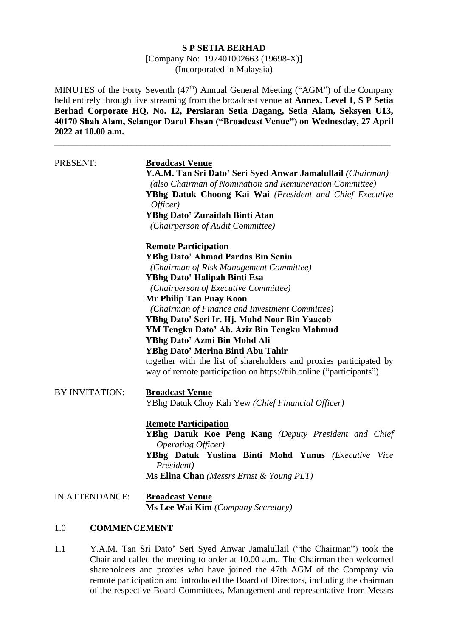#### **S P SETIA BERHAD**

[Company No: 197401002663 (19698-X)] (Incorporated in Malaysia)

MINUTES of the Forty Seventh (47<sup>th</sup>) Annual General Meeting ("AGM") of the Company held entirely through live streaming from the broadcast venue **at Annex, Level 1, S P Setia Berhad Corporate HQ, No. 12, Persiaran Setia Dagang, Setia Alam, Seksyen U13, 40170 Shah Alam, Selangor Darul Ehsan ("Broadcast Venue") on Wednesday, 27 April 2022 at 10.00 a.m.**

\_\_\_\_\_\_\_\_\_\_\_\_\_\_\_\_\_\_\_\_\_\_\_\_\_\_\_\_\_\_\_\_\_\_\_\_\_\_\_\_\_\_\_\_\_\_\_\_\_\_\_\_\_\_\_\_\_\_\_\_\_\_\_\_\_\_\_\_\_\_\_\_\_\_

| PRESENT:              | <b>Broadcast Venue</b><br>Y.A.M. Tan Sri Dato' Seri Syed Anwar Jamalullail (Chairman)<br>(also Chairman of Nomination and Remuneration Committee)<br>YBhg Datuk Choong Kai Wai (President and Chief Executive<br>Officer)<br><b>YBhg Dato' Zuraidah Binti Atan</b><br>(Chairperson of Audit Committee) |  |  |
|-----------------------|--------------------------------------------------------------------------------------------------------------------------------------------------------------------------------------------------------------------------------------------------------------------------------------------------------|--|--|
|                       | <b>Remote Participation</b><br><b>YBhg Dato' Ahmad Pardas Bin Senin</b><br>(Chairman of Risk Management Committee)                                                                                                                                                                                     |  |  |
|                       | YBhg Dato' Halipah Binti Esa<br>(Chairperson of Executive Committee)                                                                                                                                                                                                                                   |  |  |
|                       | Mr Philip Tan Puay Koon<br>(Chairman of Finance and Investment Committee)<br>YBhg Dato' Seri Ir. Hj. Mohd Noor Bin Yaacob                                                                                                                                                                              |  |  |
|                       | YM Tengku Dato' Ab. Aziz Bin Tengku Mahmud<br>YBhg Dato' Azmi Bin Mohd Ali<br>YBhg Dato' Merina Binti Abu Tahir<br>together with the list of shareholders and proxies participated by<br>way of remote participation on https://tiih.online ("participants")                                           |  |  |
| <b>BY INVITATION:</b> | <b>Broadcast Venue</b><br>YBhg Datuk Choy Kah Yew (Chief Financial Officer)                                                                                                                                                                                                                            |  |  |
|                       | <b>Remote Participation</b><br>YBhg Datuk Koe Peng Kang (Deputy President and Chief<br>Operating Officer)<br>YBhg Datuk Yuslina Binti Mohd Yunus (Executive Vice<br>President)<br>Ms Elina Chan (Messrs Ernst & Young PLT)                                                                             |  |  |
| IN ATTENDANCE:        | <b>Broadcast Venue</b><br>Ms Lee Wai Kim (Company Secretary)                                                                                                                                                                                                                                           |  |  |

## 1.0 **COMMENCEMENT**

1.1 Y.A.M. Tan Sri Dato' Seri Syed Anwar Jamalullail ("the Chairman") took the Chair and called the meeting to order at 10.00 a.m.. The Chairman then welcomed shareholders and proxies who have joined the 47th AGM of the Company via remote participation and introduced the Board of Directors, including the chairman of the respective Board Committees, Management and representative from Messrs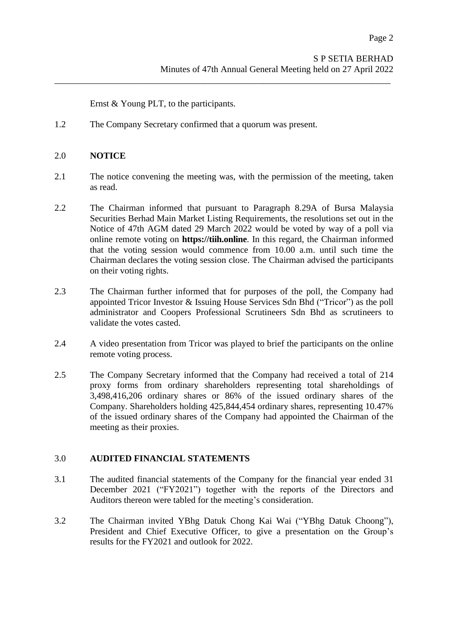Ernst & Young PLT, to the participants.

1.2 The Company Secretary confirmed that a quorum was present.

## 2.0 **NOTICE**

2.1 The notice convening the meeting was, with the permission of the meeting, taken as read.

\_\_\_\_\_\_\_\_\_\_\_\_\_\_\_\_\_\_\_\_\_\_\_\_\_\_\_\_\_\_\_\_\_\_\_\_\_\_\_\_\_\_\_\_\_\_\_\_\_\_\_\_\_\_\_\_\_\_\_\_\_\_\_\_\_\_\_\_\_\_\_\_\_\_

- 2.2 The Chairman informed that pursuant to Paragraph 8.29A of Bursa Malaysia Securities Berhad Main Market Listing Requirements, the resolutions set out in the Notice of 47th AGM dated 29 March 2022 would be voted by way of a poll via online remote voting on **https://tiih.online**. In this regard, the Chairman informed that the voting session would commence from 10.00 a.m. until such time the Chairman declares the voting session close. The Chairman advised the participants on their voting rights.
- 2.3 The Chairman further informed that for purposes of the poll, the Company had appointed Tricor Investor & Issuing House Services Sdn Bhd ("Tricor") as the poll administrator and Coopers Professional Scrutineers Sdn Bhd as scrutineers to validate the votes casted.
- 2.4 A video presentation from Tricor was played to brief the participants on the online remote voting process.
- 2.5 The Company Secretary informed that the Company had received a total of 214 proxy forms from ordinary shareholders representing total shareholdings of 3,498,416,206 ordinary shares or 86% of the issued ordinary shares of the Company. Shareholders holding 425,844,454 ordinary shares, representing 10.47% of the issued ordinary shares of the Company had appointed the Chairman of the meeting as their proxies.

#### 3.0 **AUDITED FINANCIAL STATEMENTS**

- 3.1 The audited financial statements of the Company for the financial year ended 31 December 2021 ("FY2021") together with the reports of the Directors and Auditors thereon were tabled for the meeting's consideration.
- 3.2 The Chairman invited YBhg Datuk Chong Kai Wai ("YBhg Datuk Choong"), President and Chief Executive Officer, to give a presentation on the Group's results for the FY2021 and outlook for 2022.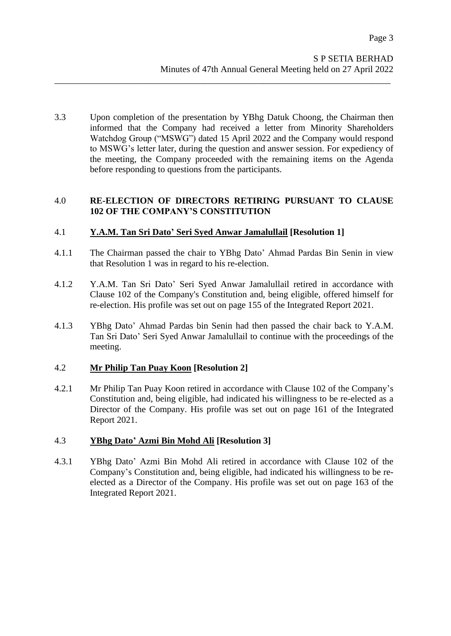3.3 Upon completion of the presentation by YBhg Datuk Choong, the Chairman then informed that the Company had received a letter from Minority Shareholders Watchdog Group ("MSWG") dated 15 April 2022 and the Company would respond to MSWG's letter later, during the question and answer session. For expediency of the meeting, the Company proceeded with the remaining items on the Agenda before responding to questions from the participants.

\_\_\_\_\_\_\_\_\_\_\_\_\_\_\_\_\_\_\_\_\_\_\_\_\_\_\_\_\_\_\_\_\_\_\_\_\_\_\_\_\_\_\_\_\_\_\_\_\_\_\_\_\_\_\_\_\_\_\_\_\_\_\_\_\_\_\_\_\_\_\_\_\_\_

# 4.0 **RE-ELECTION OF DIRECTORS RETIRING PURSUANT TO CLAUSE 102 OF THE COMPANY'S CONSTITUTION**

# 4.1 **Y.A.M. Tan Sri Dato' Seri Syed Anwar Jamalullail [Resolution 1]**

- 4.1.1 The Chairman passed the chair to YBhg Dato' Ahmad Pardas Bin Senin in view that Resolution 1 was in regard to his re-election.
- 4.1.2 Y.A.M. Tan Sri Dato' Seri Syed Anwar Jamalullail retired in accordance with Clause 102 of the Company's Constitution and, being eligible, offered himself for re-election. His profile was set out on page 155 of the Integrated Report 2021.
- 4.1.3 YBhg Dato' Ahmad Pardas bin Senin had then passed the chair back to Y.A.M. Tan Sri Dato' Seri Syed Anwar Jamalullail to continue with the proceedings of the meeting.

# 4.2 **Mr Philip Tan Puay Koon [Resolution 2]**

4.2.1 Mr Philip Tan Puay Koon retired in accordance with Clause 102 of the Company's Constitution and, being eligible, had indicated his willingness to be re-elected as a Director of the Company. His profile was set out on page 161 of the Integrated Report 2021.

# 4.3 **YBhg Dato' Azmi Bin Mohd Ali [Resolution 3]**

4.3.1 YBhg Dato' Azmi Bin Mohd Ali retired in accordance with Clause 102 of the Company's Constitution and, being eligible, had indicated his willingness to be reelected as a Director of the Company. His profile was set out on page 163 of the Integrated Report 2021.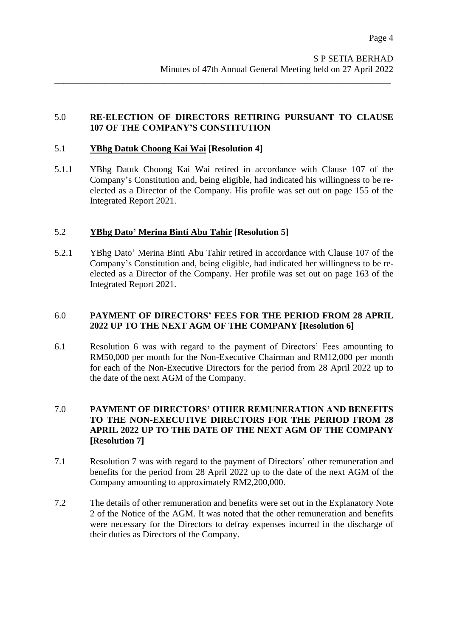# 5.0 **RE-ELECTION OF DIRECTORS RETIRING PURSUANT TO CLAUSE 107 OF THE COMPANY'S CONSTITUTION**

\_\_\_\_\_\_\_\_\_\_\_\_\_\_\_\_\_\_\_\_\_\_\_\_\_\_\_\_\_\_\_\_\_\_\_\_\_\_\_\_\_\_\_\_\_\_\_\_\_\_\_\_\_\_\_\_\_\_\_\_\_\_\_\_\_\_\_\_\_\_\_\_\_\_

## 5.1 **YBhg Datuk Choong Kai Wai [Resolution 4]**

5.1.1 YBhg Datuk Choong Kai Wai retired in accordance with Clause 107 of the Company's Constitution and, being eligible, had indicated his willingness to be reelected as a Director of the Company. His profile was set out on page 155 of the Integrated Report 2021.

## 5.2 **YBhg Dato' Merina Binti Abu Tahir [Resolution 5]**

5.2.1 YBhg Dato' Merina Binti Abu Tahir retired in accordance with Clause 107 of the Company's Constitution and, being eligible, had indicated her willingness to be reelected as a Director of the Company. Her profile was set out on page 163 of the Integrated Report 2021.

## 6.0 **PAYMENT OF DIRECTORS' FEES FOR THE PERIOD FROM 28 APRIL 2022 UP TO THE NEXT AGM OF THE COMPANY [Resolution 6]**

6.1 Resolution 6 was with regard to the payment of Directors' Fees amounting to RM50,000 per month for the Non-Executive Chairman and RM12,000 per month for each of the Non-Executive Directors for the period from 28 April 2022 up to the date of the next AGM of the Company.

## 7.0 **PAYMENT OF DIRECTORS' OTHER REMUNERATION AND BENEFITS TO THE NON-EXECUTIVE DIRECTORS FOR THE PERIOD FROM 28 APRIL 2022 UP TO THE DATE OF THE NEXT AGM OF THE COMPANY [Resolution 7]**

- 7.1 Resolution 7 was with regard to the payment of Directors' other remuneration and benefits for the period from 28 April 2022 up to the date of the next AGM of the Company amounting to approximately RM2,200,000.
- 7.2 The details of other remuneration and benefits were set out in the Explanatory Note 2 of the Notice of the AGM. It was noted that the other remuneration and benefits were necessary for the Directors to defray expenses incurred in the discharge of their duties as Directors of the Company.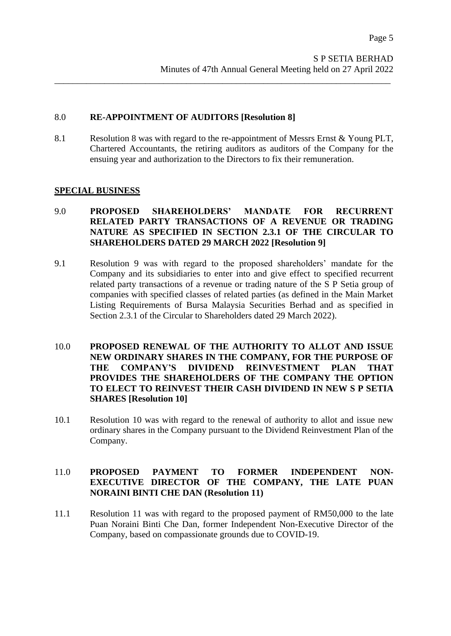## 8.0 **RE-APPOINTMENT OF AUDITORS [Resolution 8]**

8.1 Resolution 8 was with regard to the re-appointment of Messrs Ernst & Young PLT, Chartered Accountants, the retiring auditors as auditors of the Company for the ensuing year and authorization to the Directors to fix their remuneration.

\_\_\_\_\_\_\_\_\_\_\_\_\_\_\_\_\_\_\_\_\_\_\_\_\_\_\_\_\_\_\_\_\_\_\_\_\_\_\_\_\_\_\_\_\_\_\_\_\_\_\_\_\_\_\_\_\_\_\_\_\_\_\_\_\_\_\_\_\_\_\_\_\_\_

#### **SPECIAL BUSINESS**

## 9.0 **PROPOSED SHAREHOLDERS' MANDATE FOR RECURRENT RELATED PARTY TRANSACTIONS OF A REVENUE OR TRADING NATURE AS SPECIFIED IN SECTION 2.3.1 OF THE CIRCULAR TO SHAREHOLDERS DATED 29 MARCH 2022 [Resolution 9]**

- 9.1 Resolution 9 was with regard to the proposed shareholders' mandate for the Company and its subsidiaries to enter into and give effect to specified recurrent related party transactions of a revenue or trading nature of the S P Setia group of companies with specified classes of related parties (as defined in the Main Market Listing Requirements of Bursa Malaysia Securities Berhad and as specified in Section 2.3.1 of the Circular to Shareholders dated 29 March 2022).
- 10.0 **PROPOSED RENEWAL OF THE AUTHORITY TO ALLOT AND ISSUE NEW ORDINARY SHARES IN THE COMPANY, FOR THE PURPOSE OF THE COMPANY'S DIVIDEND REINVESTMENT PLAN THAT PROVIDES THE SHAREHOLDERS OF THE COMPANY THE OPTION TO ELECT TO REINVEST THEIR CASH DIVIDEND IN NEW S P SETIA SHARES [Resolution 10]**
- 10.1 Resolution 10 was with regard to the renewal of authority to allot and issue new ordinary shares in the Company pursuant to the Dividend Reinvestment Plan of the Company.

## 11.0 **PROPOSED PAYMENT TO FORMER INDEPENDENT NON-EXECUTIVE DIRECTOR OF THE COMPANY, THE LATE PUAN NORAINI BINTI CHE DAN (Resolution 11)**

11.1 Resolution 11 was with regard to the proposed payment of RM50,000 to the late Puan Noraini Binti Che Dan, former Independent Non-Executive Director of the Company, based on compassionate grounds due to COVID-19.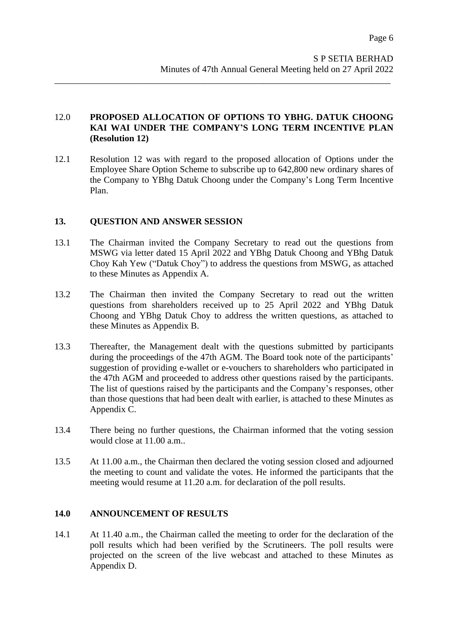# 12.0 **PROPOSED ALLOCATION OF OPTIONS TO YBHG. DATUK CHOONG KAI WAI UNDER THE COMPANY'S LONG TERM INCENTIVE PLAN (Resolution 12)**

\_\_\_\_\_\_\_\_\_\_\_\_\_\_\_\_\_\_\_\_\_\_\_\_\_\_\_\_\_\_\_\_\_\_\_\_\_\_\_\_\_\_\_\_\_\_\_\_\_\_\_\_\_\_\_\_\_\_\_\_\_\_\_\_\_\_\_\_\_\_\_\_\_\_

12.1 Resolution 12 was with regard to the proposed allocation of Options under the Employee Share Option Scheme to subscribe up to 642,800 new ordinary shares of the Company to YBhg Datuk Choong under the Company's Long Term Incentive Plan.

# **13. QUESTION AND ANSWER SESSION**

- 13.1 The Chairman invited the Company Secretary to read out the questions from MSWG via letter dated 15 April 2022 and YBhg Datuk Choong and YBhg Datuk Choy Kah Yew ("Datuk Choy") to address the questions from MSWG, as attached to these Minutes as Appendix A.
- 13.2 The Chairman then invited the Company Secretary to read out the written questions from shareholders received up to 25 April 2022 and YBhg Datuk Choong and YBhg Datuk Choy to address the written questions, as attached to these Minutes as Appendix B.
- 13.3 Thereafter, the Management dealt with the questions submitted by participants during the proceedings of the 47th AGM. The Board took note of the participants' suggestion of providing e-wallet or e-vouchers to shareholders who participated in the 47th AGM and proceeded to address other questions raised by the participants. The list of questions raised by the participants and the Company's responses, other than those questions that had been dealt with earlier, is attached to these Minutes as Appendix C.
- 13.4 There being no further questions, the Chairman informed that the voting session would close at 11.00 a.m..
- 13.5 At 11.00 a.m., the Chairman then declared the voting session closed and adjourned the meeting to count and validate the votes. He informed the participants that the meeting would resume at 11.20 a.m. for declaration of the poll results.

# **14.0 ANNOUNCEMENT OF RESULTS**

14.1 At 11.40 a.m., the Chairman called the meeting to order for the declaration of the poll results which had been verified by the Scrutineers. The poll results were projected on the screen of the live webcast and attached to these Minutes as Appendix D.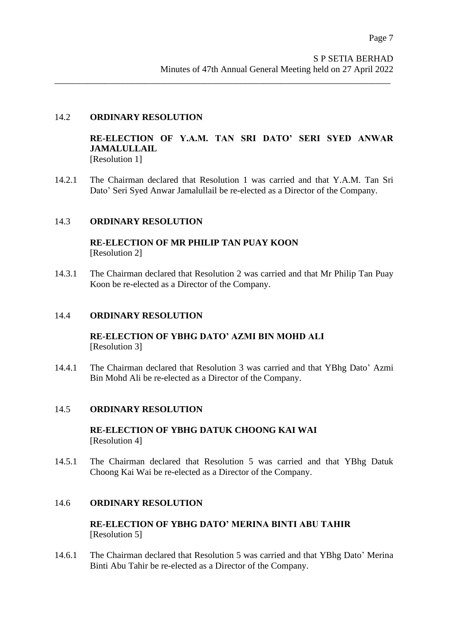## 14.2 **ORDINARY RESOLUTION**

**RE-ELECTION OF Y.A.M. TAN SRI DATO' SERI SYED ANWAR JAMALULLAIL**

[Resolution 1]

14.2.1 The Chairman declared that Resolution 1 was carried and that Y.A.M. Tan Sri Dato' Seri Syed Anwar Jamalullail be re-elected as a Director of the Company.

\_\_\_\_\_\_\_\_\_\_\_\_\_\_\_\_\_\_\_\_\_\_\_\_\_\_\_\_\_\_\_\_\_\_\_\_\_\_\_\_\_\_\_\_\_\_\_\_\_\_\_\_\_\_\_\_\_\_\_\_\_\_\_\_\_\_\_\_\_\_\_\_\_\_

## 14.3 **ORDINARY RESOLUTION**

**RE-ELECTION OF MR PHILIP TAN PUAY KOON** [Resolution 2]

14.3.1 The Chairman declared that Resolution 2 was carried and that Mr Philip Tan Puay Koon be re-elected as a Director of the Company.

## 14.4 **ORDINARY RESOLUTION**

**RE-ELECTION OF YBHG DATO' AZMI BIN MOHD ALI** [Resolution 3]

14.4.1 The Chairman declared that Resolution 3 was carried and that YBhg Dato' Azmi Bin Mohd Ali be re-elected as a Director of the Company.

#### 14.5 **ORDINARY RESOLUTION**

**RE-ELECTION OF YBHG DATUK CHOONG KAI WAI** [Resolution 4]

14.5.1 The Chairman declared that Resolution 5 was carried and that YBhg Datuk Choong Kai Wai be re-elected as a Director of the Company.

#### 14.6 **ORDINARY RESOLUTION**

**RE-ELECTION OF YBHG DATO' MERINA BINTI ABU TAHIR** [Resolution 5]

14.6.1 The Chairman declared that Resolution 5 was carried and that YBhg Dato' Merina Binti Abu Tahir be re-elected as a Director of the Company.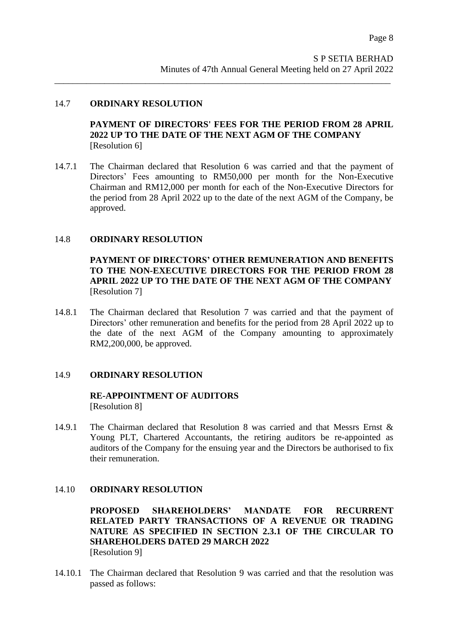#### 14.7 **ORDINARY RESOLUTION**

## **PAYMENT OF DIRECTORS' FEES FOR THE PERIOD FROM 28 APRIL 2022 UP TO THE DATE OF THE NEXT AGM OF THE COMPANY** [Resolution 6]

14.7.1 The Chairman declared that Resolution 6 was carried and that the payment of Directors' Fees amounting to RM50,000 per month for the Non-Executive Chairman and RM12,000 per month for each of the Non-Executive Directors for the period from 28 April 2022 up to the date of the next AGM of the Company, be approved.

\_\_\_\_\_\_\_\_\_\_\_\_\_\_\_\_\_\_\_\_\_\_\_\_\_\_\_\_\_\_\_\_\_\_\_\_\_\_\_\_\_\_\_\_\_\_\_\_\_\_\_\_\_\_\_\_\_\_\_\_\_\_\_\_\_\_\_\_\_\_\_\_\_\_

#### 14.8 **ORDINARY RESOLUTION**

**PAYMENT OF DIRECTORS' OTHER REMUNERATION AND BENEFITS TO THE NON-EXECUTIVE DIRECTORS FOR THE PERIOD FROM 28 APRIL 2022 UP TO THE DATE OF THE NEXT AGM OF THE COMPANY** [Resolution 7]

14.8.1 The Chairman declared that Resolution 7 was carried and that the payment of Directors' other remuneration and benefits for the period from 28 April 2022 up to the date of the next AGM of the Company amounting to approximately RM2,200,000, be approved.

#### 14.9 **ORDINARY RESOLUTION**

## **RE-APPOINTMENT OF AUDITORS** [Resolution 8]

14.9.1 The Chairman declared that Resolution 8 was carried and that Messrs Ernst & Young PLT, Chartered Accountants, the retiring auditors be re-appointed as auditors of the Company for the ensuing year and the Directors be authorised to fix their remuneration.

#### 14.10 **ORDINARY RESOLUTION**

**PROPOSED SHAREHOLDERS' MANDATE FOR RECURRENT RELATED PARTY TRANSACTIONS OF A REVENUE OR TRADING NATURE AS SPECIFIED IN SECTION 2.3.1 OF THE CIRCULAR TO SHAREHOLDERS DATED 29 MARCH 2022** [Resolution 9]

14.10.1 The Chairman declared that Resolution 9 was carried and that the resolution was passed as follows: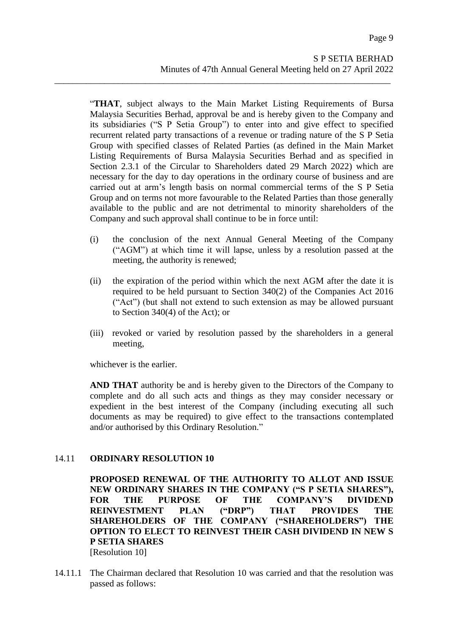"**THAT**, subject always to the Main Market Listing Requirements of Bursa Malaysia Securities Berhad, approval be and is hereby given to the Company and its subsidiaries ("S P Setia Group") to enter into and give effect to specified recurrent related party transactions of a revenue or trading nature of the S P Setia Group with specified classes of Related Parties (as defined in the Main Market Listing Requirements of Bursa Malaysia Securities Berhad and as specified in Section 2.3.1 of the Circular to Shareholders dated 29 March 2022) which are necessary for the day to day operations in the ordinary course of business and are carried out at arm's length basis on normal commercial terms of the S P Setia Group and on terms not more favourable to the Related Parties than those generally available to the public and are not detrimental to minority shareholders of the Company and such approval shall continue to be in force until:

\_\_\_\_\_\_\_\_\_\_\_\_\_\_\_\_\_\_\_\_\_\_\_\_\_\_\_\_\_\_\_\_\_\_\_\_\_\_\_\_\_\_\_\_\_\_\_\_\_\_\_\_\_\_\_\_\_\_\_\_\_\_\_\_\_\_\_\_\_\_\_\_\_\_

- (i) the conclusion of the next Annual General Meeting of the Company ("AGM") at which time it will lapse, unless by a resolution passed at the meeting, the authority is renewed;
- (ii) the expiration of the period within which the next AGM after the date it is required to be held pursuant to Section 340(2) of the Companies Act 2016 ("Act") (but shall not extend to such extension as may be allowed pursuant to Section 340(4) of the Act); or
- (iii) revoked or varied by resolution passed by the shareholders in a general meeting,

whichever is the earlier.

**AND THAT** authority be and is hereby given to the Directors of the Company to complete and do all such acts and things as they may consider necessary or expedient in the best interest of the Company (including executing all such documents as may be required) to give effect to the transactions contemplated and/or authorised by this Ordinary Resolution."

# 14.11 **ORDINARY RESOLUTION 10**

**PROPOSED RENEWAL OF THE AUTHORITY TO ALLOT AND ISSUE NEW ORDINARY SHARES IN THE COMPANY ("S P SETIA SHARES"), FOR THE PURPOSE OF THE COMPANY'S DIVIDEND REINVESTMENT PLAN ("DRP") THAT PROVIDES THE SHAREHOLDERS OF THE COMPANY ("SHAREHOLDERS") THE OPTION TO ELECT TO REINVEST THEIR CASH DIVIDEND IN NEW S P SETIA SHARES** [Resolution 10]

14.11.1 The Chairman declared that Resolution 10 was carried and that the resolution was passed as follows: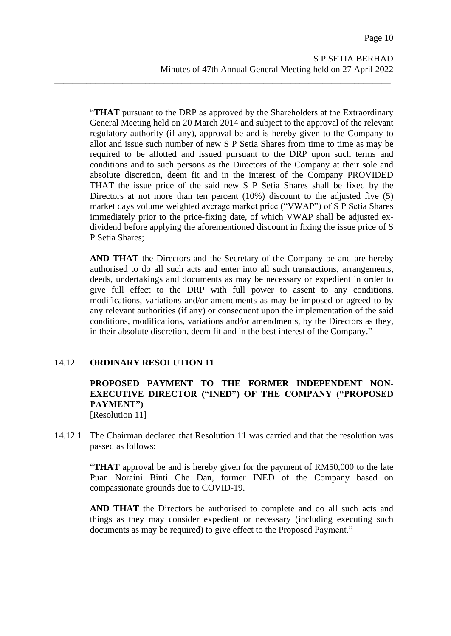"**THAT** pursuant to the DRP as approved by the Shareholders at the Extraordinary General Meeting held on 20 March 2014 and subject to the approval of the relevant regulatory authority (if any), approval be and is hereby given to the Company to allot and issue such number of new S P Setia Shares from time to time as may be required to be allotted and issued pursuant to the DRP upon such terms and conditions and to such persons as the Directors of the Company at their sole and absolute discretion, deem fit and in the interest of the Company PROVIDED THAT the issue price of the said new S P Setia Shares shall be fixed by the Directors at not more than ten percent (10%) discount to the adjusted five (5) market days volume weighted average market price ("VWAP") of S P Setia Shares immediately prior to the price-fixing date, of which VWAP shall be adjusted exdividend before applying the aforementioned discount in fixing the issue price of S P Setia Shares;

\_\_\_\_\_\_\_\_\_\_\_\_\_\_\_\_\_\_\_\_\_\_\_\_\_\_\_\_\_\_\_\_\_\_\_\_\_\_\_\_\_\_\_\_\_\_\_\_\_\_\_\_\_\_\_\_\_\_\_\_\_\_\_\_\_\_\_\_\_\_\_\_\_\_

**AND THAT** the Directors and the Secretary of the Company be and are hereby authorised to do all such acts and enter into all such transactions, arrangements, deeds, undertakings and documents as may be necessary or expedient in order to give full effect to the DRP with full power to assent to any conditions, modifications, variations and/or amendments as may be imposed or agreed to by any relevant authorities (if any) or consequent upon the implementation of the said conditions, modifications, variations and/or amendments, by the Directors as they, in their absolute discretion, deem fit and in the best interest of the Company."

# 14.12 **ORDINARY RESOLUTION 11**

# **PROPOSED PAYMENT TO THE FORMER INDEPENDENT NON-EXECUTIVE DIRECTOR ("INED") OF THE COMPANY ("PROPOSED PAYMENT")**

[Resolution 11]

14.12.1 The Chairman declared that Resolution 11 was carried and that the resolution was passed as follows:

> "**THAT** approval be and is hereby given for the payment of RM50,000 to the late Puan Noraini Binti Che Dan, former INED of the Company based on compassionate grounds due to COVID-19.

> **AND THAT** the Directors be authorised to complete and do all such acts and things as they may consider expedient or necessary (including executing such documents as may be required) to give effect to the Proposed Payment."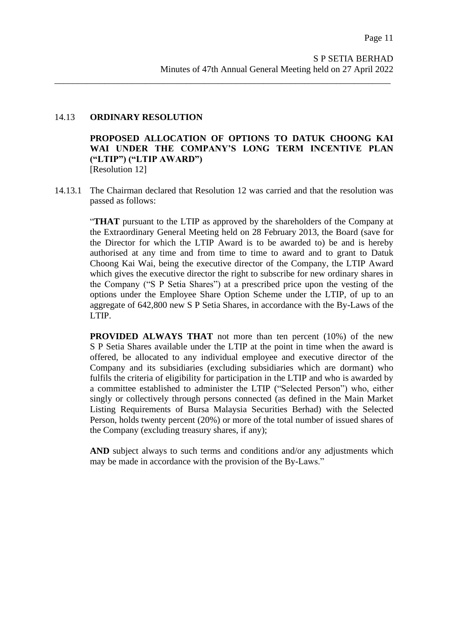#### 14.13 **ORDINARY RESOLUTION**

**PROPOSED ALLOCATION OF OPTIONS TO DATUK CHOONG KAI WAI UNDER THE COMPANY'S LONG TERM INCENTIVE PLAN ("LTIP") ("LTIP AWARD")** [Resolution 12]

14.13.1 The Chairman declared that Resolution 12 was carried and that the resolution was passed as follows:

\_\_\_\_\_\_\_\_\_\_\_\_\_\_\_\_\_\_\_\_\_\_\_\_\_\_\_\_\_\_\_\_\_\_\_\_\_\_\_\_\_\_\_\_\_\_\_\_\_\_\_\_\_\_\_\_\_\_\_\_\_\_\_\_\_\_\_\_\_\_\_\_\_\_

"**THAT** pursuant to the LTIP as approved by the shareholders of the Company at the Extraordinary General Meeting held on 28 February 2013, the Board (save for the Director for which the LTIP Award is to be awarded to) be and is hereby authorised at any time and from time to time to award and to grant to Datuk Choong Kai Wai, being the executive director of the Company, the LTIP Award which gives the executive director the right to subscribe for new ordinary shares in the Company ("S P Setia Shares") at a prescribed price upon the vesting of the options under the Employee Share Option Scheme under the LTIP, of up to an aggregate of 642,800 new S P Setia Shares, in accordance with the By-Laws of the LTIP.

**PROVIDED ALWAYS THAT** not more than ten percent (10%) of the new S P Setia Shares available under the LTIP at the point in time when the award is offered, be allocated to any individual employee and executive director of the Company and its subsidiaries (excluding subsidiaries which are dormant) who fulfils the criteria of eligibility for participation in the LTIP and who is awarded by a committee established to administer the LTIP ("Selected Person") who, either singly or collectively through persons connected (as defined in the Main Market Listing Requirements of Bursa Malaysia Securities Berhad) with the Selected Person, holds twenty percent (20%) or more of the total number of issued shares of the Company (excluding treasury shares, if any);

**AND** subject always to such terms and conditions and/or any adjustments which may be made in accordance with the provision of the By-Laws."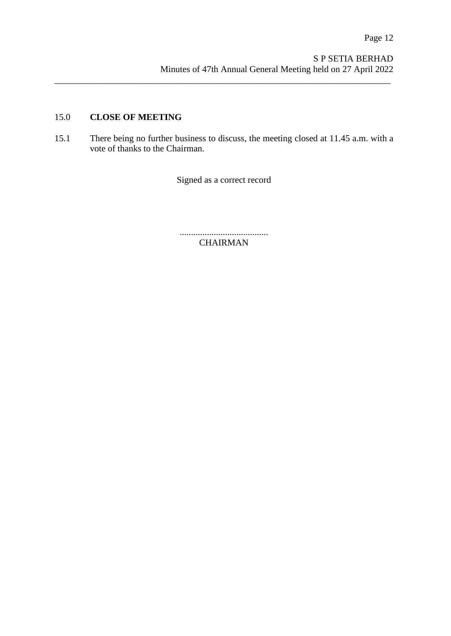# 15.0 **CLOSE OF MEETING**

15.1 There being no further business to discuss, the meeting closed at 11.45 a.m. with a vote of thanks to the Chairman.

\_\_\_\_\_\_\_\_\_\_\_\_\_\_\_\_\_\_\_\_\_\_\_\_\_\_\_\_\_\_\_\_\_\_\_\_\_\_\_\_\_\_\_\_\_\_\_\_\_\_\_\_\_\_\_\_\_\_\_\_\_\_\_\_\_\_\_\_\_\_\_\_\_\_

Signed as a correct record

....................................... CHAIRMAN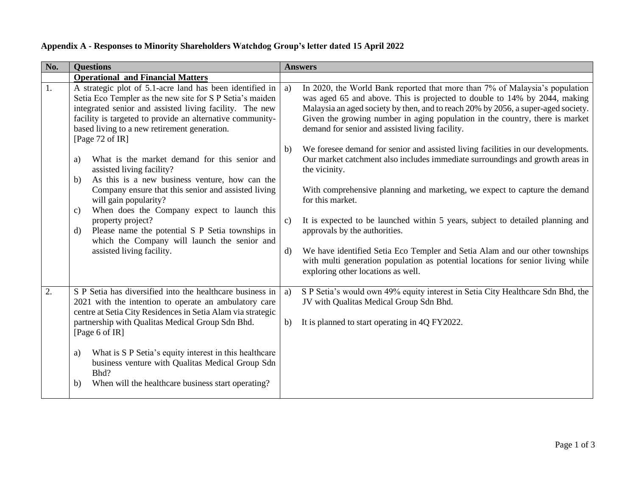| No. | <b>Questions</b>                                                                                                                                                                                                                                                                                                                                                                                                                                | <b>Answers</b>                                                                                                                                                                                                                                                                                                                                                                                                                                                                                                                                                                                                                               |
|-----|-------------------------------------------------------------------------------------------------------------------------------------------------------------------------------------------------------------------------------------------------------------------------------------------------------------------------------------------------------------------------------------------------------------------------------------------------|----------------------------------------------------------------------------------------------------------------------------------------------------------------------------------------------------------------------------------------------------------------------------------------------------------------------------------------------------------------------------------------------------------------------------------------------------------------------------------------------------------------------------------------------------------------------------------------------------------------------------------------------|
|     | <b>Operational and Financial Matters</b>                                                                                                                                                                                                                                                                                                                                                                                                        |                                                                                                                                                                                                                                                                                                                                                                                                                                                                                                                                                                                                                                              |
| 1.  | A strategic plot of 5.1-acre land has been identified in<br>Setia Eco Templer as the new site for S P Setia's maiden<br>integrated senior and assisted living facility. The new<br>facility is targeted to provide an alternative community-<br>based living to a new retirement generation.<br>[Page 72 of IR]                                                                                                                                 | In 2020, the World Bank reported that more than 7% of Malaysia's population<br>a)<br>was aged 65 and above. This is projected to double to 14% by 2044, making<br>Malaysia an aged society by then, and to reach 20% by 2056, a super-aged society.<br>Given the growing number in aging population in the country, there is market<br>demand for senior and assisted living facility.                                                                                                                                                                                                                                                       |
|     | What is the market demand for this senior and<br>a)<br>assisted living facility?<br>As this is a new business venture, how can the<br>b)<br>Company ensure that this senior and assisted living<br>will gain popularity?<br>When does the Company expect to launch this<br>c)<br>property project?<br>Please name the potential S P Setia townships in<br>d)<br>which the Company will launch the senior and<br>assisted living facility.       | We foresee demand for senior and assisted living facilities in our developments.<br>b)<br>Our market catchment also includes immediate surroundings and growth areas in<br>the vicinity.<br>With comprehensive planning and marketing, we expect to capture the demand<br>for this market.<br>It is expected to be launched within 5 years, subject to detailed planning and<br>$\mathbf{c})$<br>approvals by the authorities.<br>We have identified Setia Eco Templer and Setia Alam and our other townships<br>d)<br>with multi generation population as potential locations for senior living while<br>exploring other locations as well. |
| 2.  | S P Setia has diversified into the healthcare business in<br>2021 with the intention to operate an ambulatory care<br>centre at Setia City Residences in Setia Alam via strategic<br>partnership with Qualitas Medical Group Sdn Bhd.<br>[Page 6 of IR]<br>What is S P Setia's equity interest in this healthcare<br>a)<br>business venture with Qualitas Medical Group Sdn<br>Bhd?<br>When will the healthcare business start operating?<br>b) | S P Setia's would own 49% equity interest in Setia City Healthcare Sdn Bhd, the<br>a)<br>JV with Qualitas Medical Group Sdn Bhd.<br>It is planned to start operating in 4Q FY2022.<br>b)                                                                                                                                                                                                                                                                                                                                                                                                                                                     |

# **Appendix A - Responses to Minority Shareholders Watchdog Group's letter dated 15 April 2022**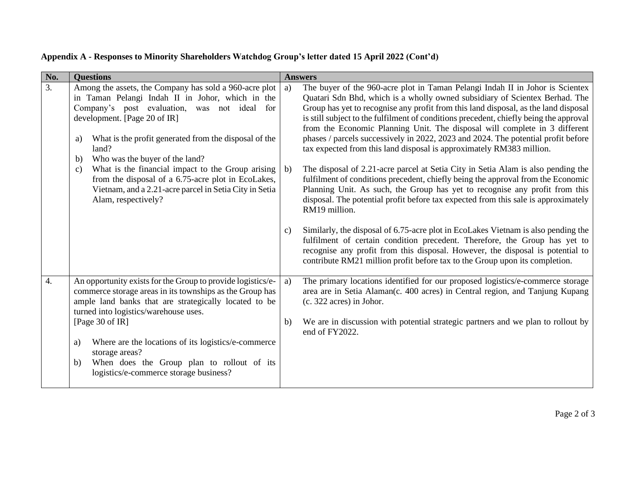|  | Appendix A - Responses to Minority Shareholders Watchdog Group's letter dated 15 April 2022 (Cont'd) |
|--|------------------------------------------------------------------------------------------------------|
|--|------------------------------------------------------------------------------------------------------|

| No.              | <b>Questions</b>                                                                                                                                                                                                                                                                                           |                    | <b>Answers</b>                                                                                                                                                                                                                                                                                                                                                                                                                                                                                                                                                                           |
|------------------|------------------------------------------------------------------------------------------------------------------------------------------------------------------------------------------------------------------------------------------------------------------------------------------------------------|--------------------|------------------------------------------------------------------------------------------------------------------------------------------------------------------------------------------------------------------------------------------------------------------------------------------------------------------------------------------------------------------------------------------------------------------------------------------------------------------------------------------------------------------------------------------------------------------------------------------|
| 3.               | Among the assets, the Company has sold a 960-acre plot<br>in Taman Pelangi Indah II in Johor, which in the<br>Company's post evaluation, was not ideal for<br>development. [Page 20 of IR]<br>What is the profit generated from the disposal of the<br>a)<br>land?<br>Who was the buyer of the land?<br>b) | a)                 | The buyer of the 960-acre plot in Taman Pelangi Indah II in Johor is Scientex<br>Quatari Sdn Bhd, which is a wholly owned subsidiary of Scientex Berhad. The<br>Group has yet to recognise any profit from this land disposal, as the land disposal<br>is still subject to the fulfilment of conditions precedent, chiefly being the approval<br>from the Economic Planning Unit. The disposal will complete in 3 different<br>phases / parcels successively in 2022, 2023 and 2024. The potential profit before<br>tax expected from this land disposal is approximately RM383 million. |
|                  | What is the financial impact to the Group arising<br>$\mathbf{c})$<br>from the disposal of a 6.75-acre plot in EcoLakes,<br>Vietnam, and a 2.21-acre parcel in Setia City in Setia<br>Alam, respectively?                                                                                                  | b)<br>$\mathbf{c}$ | The disposal of 2.21-acre parcel at Setia City in Setia Alam is also pending the<br>fulfilment of conditions precedent, chiefly being the approval from the Economic<br>Planning Unit. As such, the Group has yet to recognise any profit from this<br>disposal. The potential profit before tax expected from this sale is approximately<br>RM19 million.<br>Similarly, the disposal of 6.75-acre plot in EcoLakes Vietnam is also pending the                                                                                                                                          |
|                  |                                                                                                                                                                                                                                                                                                            |                    | fulfilment of certain condition precedent. Therefore, the Group has yet to<br>recognise any profit from this disposal. However, the disposal is potential to<br>contribute RM21 million profit before tax to the Group upon its completion.                                                                                                                                                                                                                                                                                                                                              |
| $\overline{4}$ . | An opportunity exists for the Group to provide logistics/e-<br>commerce storage areas in its townships as the Group has<br>ample land banks that are strategically located to be<br>turned into logistics/warehouse uses.                                                                                  | a)                 | The primary locations identified for our proposed logistics/e-commerce storage<br>area are in Setia Alaman(c. 400 acres) in Central region, and Tanjung Kupang<br>(c. 322 acres) in Johor.                                                                                                                                                                                                                                                                                                                                                                                               |
|                  | [Page 30 of IR]                                                                                                                                                                                                                                                                                            | $\mathbf{b}$       | We are in discussion with potential strategic partners and we plan to rollout by<br>end of FY2022.                                                                                                                                                                                                                                                                                                                                                                                                                                                                                       |
|                  | Where are the locations of its logistics/e-commerce<br>a)<br>storage areas?                                                                                                                                                                                                                                |                    |                                                                                                                                                                                                                                                                                                                                                                                                                                                                                                                                                                                          |
|                  | When does the Group plan to rollout of its<br>b)<br>logistics/e-commerce storage business?                                                                                                                                                                                                                 |                    |                                                                                                                                                                                                                                                                                                                                                                                                                                                                                                                                                                                          |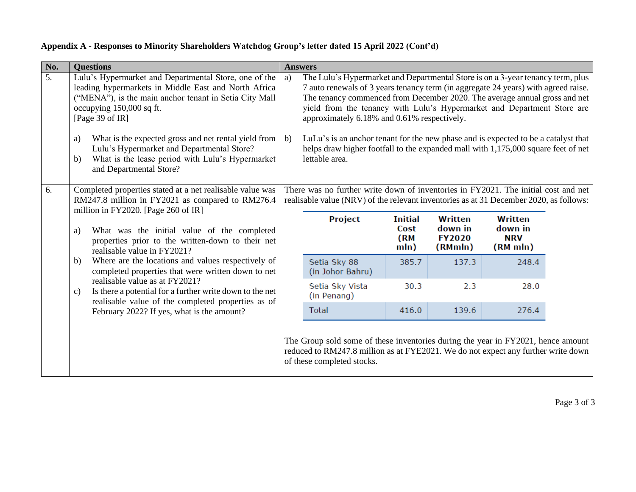| No. | <b>Questions</b>                                                                                                                                                                                                                                                                                                       |                                                                                                                                                                                                                                                                                                                                                                                     | <b>Answers</b>                                                                                                                                                                                      |                                       |                                                       |                                              |  |
|-----|------------------------------------------------------------------------------------------------------------------------------------------------------------------------------------------------------------------------------------------------------------------------------------------------------------------------|-------------------------------------------------------------------------------------------------------------------------------------------------------------------------------------------------------------------------------------------------------------------------------------------------------------------------------------------------------------------------------------|-----------------------------------------------------------------------------------------------------------------------------------------------------------------------------------------------------|---------------------------------------|-------------------------------------------------------|----------------------------------------------|--|
| 5.  | Lulu's Hypermarket and Departmental Store, one of the<br>leading hypermarkets in Middle East and North Africa<br>("MENA"), is the main anchor tenant in Setia City Mall<br>occupying 150,000 sq ft.<br>[Page 39 of $IR$ ]                                                                                              | The Lulu's Hypermarket and Departmental Store is on a 3-year tenancy term, plus<br>a)<br>7 auto renewals of 3 years tenancy term (in aggregate 24 years) with agreed raise.<br>The tenancy commenced from December 2020. The average annual gross and net<br>yield from the tenancy with Lulu's Hypermarket and Department Store are<br>approximately 6.18% and 0.61% respectively. |                                                                                                                                                                                                     |                                       |                                                       |                                              |  |
|     | What is the expected gross and net rental yield from<br>a)<br>Lulu's Hypermarket and Departmental Store?<br>What is the lease period with Lulu's Hypermarket<br>b)<br>and Departmental Store?                                                                                                                          | $\mathbf{b}$                                                                                                                                                                                                                                                                                                                                                                        | LuLu's is an anchor tenant for the new phase and is expected to be a catalyst that<br>helps draw higher footfall to the expanded mall with 1,175,000 square feet of net<br>lettable area.           |                                       |                                                       |                                              |  |
| 6.  | Completed properties stated at a net realisable value was<br>RM247.8 million in FY2021 as compared to RM276.4<br>million in FY2020. [Page 260 of IR]                                                                                                                                                                   |                                                                                                                                                                                                                                                                                                                                                                                     | There was no further write down of inventories in FY2021. The initial cost and net<br>realisable value (NRV) of the relevant inventories as at 31 December 2020, as follows:                        |                                       |                                                       |                                              |  |
| a)  | What was the initial value of the completed<br>properties prior to the written-down to their net<br>realisable value in FY2021?                                                                                                                                                                                        |                                                                                                                                                                                                                                                                                                                                                                                     | Project                                                                                                                                                                                             | <b>Initial</b><br>Cost<br>(RM<br>mln) | <b>Written</b><br>down in<br><b>FY2020</b><br>(RMmln) | Written<br>down in<br><b>NRV</b><br>(RM mln) |  |
|     | Where are the locations and values respectively of<br>b)<br>completed properties that were written down to net<br>realisable value as at FY2021?<br>Is there a potential for a further write down to the net<br>c)<br>realisable value of the completed properties as of<br>February 2022? If yes, what is the amount? |                                                                                                                                                                                                                                                                                                                                                                                     | Setia Sky 88<br>(in Johor Bahru)                                                                                                                                                                    | 385.7                                 | 137.3                                                 | 248.4                                        |  |
|     |                                                                                                                                                                                                                                                                                                                        |                                                                                                                                                                                                                                                                                                                                                                                     | Setia Sky Vista<br>(in Penang)                                                                                                                                                                      | 30.3                                  | 2.3                                                   | 28.0                                         |  |
|     |                                                                                                                                                                                                                                                                                                                        |                                                                                                                                                                                                                                                                                                                                                                                     | <b>Total</b>                                                                                                                                                                                        | 416.0                                 | 139.6                                                 | 276.4                                        |  |
|     |                                                                                                                                                                                                                                                                                                                        |                                                                                                                                                                                                                                                                                                                                                                                     | The Group sold some of these inventories during the year in FY2021, hence amount<br>reduced to RM247.8 million as at FYE2021. We do not expect any further write down<br>of these completed stocks. |                                       |                                                       |                                              |  |

## **Appendix A - Responses to Minority Shareholders Watchdog Group's letter dated 15 April 2022 (Cont'd)**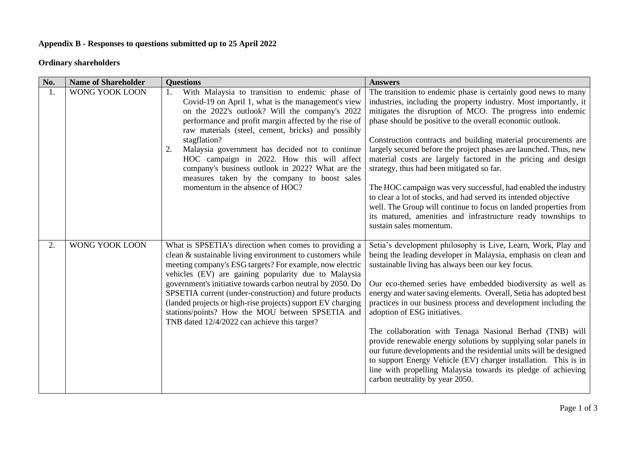# **Appendix B - Responses to questions submitted up to 25 April 2022**

# **Ordinary shareholders**

| No. | <b>Name of Shareholder</b> | <b>Questions</b>                                                                                                                                                                                                                                                                                                                                                                                                                                                                                                                           | <b>Answers</b>                                                                                                                                                                                                                                                                                                                                                                                                                                                                                                                                                                                                                                                                                                                                                                                                         |
|-----|----------------------------|--------------------------------------------------------------------------------------------------------------------------------------------------------------------------------------------------------------------------------------------------------------------------------------------------------------------------------------------------------------------------------------------------------------------------------------------------------------------------------------------------------------------------------------------|------------------------------------------------------------------------------------------------------------------------------------------------------------------------------------------------------------------------------------------------------------------------------------------------------------------------------------------------------------------------------------------------------------------------------------------------------------------------------------------------------------------------------------------------------------------------------------------------------------------------------------------------------------------------------------------------------------------------------------------------------------------------------------------------------------------------|
| 1.  | WONG YOOK LOON             | With Malaysia to transition to endemic phase of<br>1.<br>Covid-19 on April 1, what is the management's view<br>on the 2022's outlook? Will the company's 2022<br>performance and profit margin affected by the rise of<br>raw materials (steel, cement, bricks) and possibly<br>stagflation?<br>Malaysia government has decided not to continue<br>2.<br>HOC campaign in 2022. How this will affect<br>company's business outlook in 2022? What are the<br>measures taken by the company to boost sales<br>momentum in the absence of HOC? | The transition to endemic phase is certainly good news to many<br>industries, including the property industry. Most importantly, it<br>mitigates the disruption of MCO. The progress into endemic<br>phase should be positive to the overall economic outlook.<br>Construction contracts and building material procurements are<br>largely secured before the project phases are launched. Thus, new<br>material costs are largely factored in the pricing and design<br>strategy, thus had been mitigated so far.<br>The HOC campaign was very successful, had enabled the industry<br>to clear a lot of stocks, and had served its intended objective<br>well. The Group will continue to focus on landed properties from<br>its matured, amenities and infrastructure ready townships to<br>sustain sales momentum. |
| 2.  | WONG YOOK LOON             | What is SPSETIA's direction when comes to providing a<br>clean & sustainable living environment to customers while<br>meeting company's ESG targets? For example, now electric<br>vehicles (EV) are gaining popularity due to Malaysia<br>government's initiative towards carbon neutral by 2050. Do<br>SPSETIA current (under-construction) and future products<br>(landed projects or high-rise projects) support EV charging<br>stations/points? How the MOU between SPSETIA and<br>TNB dated 12/4/2022 can achieve this target?        | Setia's development philosophy is Live, Learn, Work, Play and<br>being the leading developer in Malaysia, emphasis on clean and<br>sustainable living has always been our key focus.<br>Our eco-themed series have embedded biodiversity as well as<br>energy and water saving elements. Overall, Setia has adopted best<br>practices in our business process and development including the<br>adoption of ESG initiatives.<br>The collaboration with Tenaga Nasional Berhad (TNB) will<br>provide renewable energy solutions by supplying solar panels in<br>our future developments and the residential units will be designed<br>to support Energy Vehicle (EV) charger installation. This is in<br>line with propelling Malaysia towards its pledge of achieving<br>carbon neutrality by year 2050.                |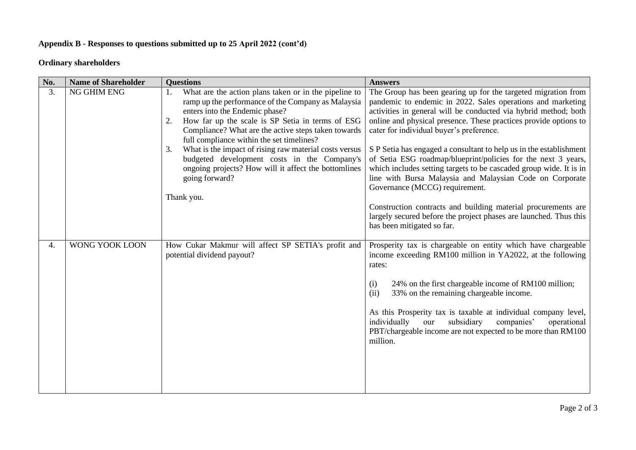# **Appendix B - Responses to questions submitted up to 25 April 2022 (cont'd)**

# **Ordinary shareholders**

| No. | <b>Name of Shareholder</b> | <b>Questions</b>                                                                                                                                                                                                                                                                                                                                                                                                                                                                                                         | <b>Answers</b>                                                                                                                                                                                                                                                                                                                                                                                                                                                                                                                                                                                                                                                                                                                                                                                 |
|-----|----------------------------|--------------------------------------------------------------------------------------------------------------------------------------------------------------------------------------------------------------------------------------------------------------------------------------------------------------------------------------------------------------------------------------------------------------------------------------------------------------------------------------------------------------------------|------------------------------------------------------------------------------------------------------------------------------------------------------------------------------------------------------------------------------------------------------------------------------------------------------------------------------------------------------------------------------------------------------------------------------------------------------------------------------------------------------------------------------------------------------------------------------------------------------------------------------------------------------------------------------------------------------------------------------------------------------------------------------------------------|
| 3.  | NG GHIM ENG                | What are the action plans taken or in the pipeline to<br>1.<br>ramp up the performance of the Company as Malaysia<br>enters into the Endemic phase?<br>How far up the scale is SP Setia in terms of ESG<br>2.<br>Compliance? What are the active steps taken towards<br>full compliance within the set timelines?<br>What is the impact of rising raw material costs versus<br>3.<br>budgeted development costs in the Company's<br>ongoing projects? How will it affect the bottomlines<br>going forward?<br>Thank you. | The Group has been gearing up for the targeted migration from<br>pandemic to endemic in 2022. Sales operations and marketing<br>activities in general will be conducted via hybrid method; both<br>online and physical presence. These practices provide options to<br>cater for individual buyer's preference.<br>S P Setia has engaged a consultant to help us in the establishment<br>of Setia ESG roadmap/blueprint/policies for the next 3 years,<br>which includes setting targets to be cascaded group wide. It is in<br>line with Bursa Malaysia and Malaysian Code on Corporate<br>Governance (MCCG) requirement.<br>Construction contracts and building material procurements are<br>largely secured before the project phases are launched. Thus this<br>has been mitigated so far. |
| 4.  | WONG YOOK LOON             | How Cukar Makmur will affect SP SETIA's profit and<br>potential dividend payout?                                                                                                                                                                                                                                                                                                                                                                                                                                         | Prosperity tax is chargeable on entity which have chargeable<br>income exceeding RM100 million in YA2022, at the following<br>rates:<br>24% on the first chargeable income of RM100 million;<br>(i)<br>33% on the remaining chargeable income.<br>(ii)<br>As this Prosperity tax is taxable at individual company level,<br>individually<br>subsidiary<br>companies'<br>operational<br>our<br>PBT/chargeable income are not expected to be more than RM100<br>million.                                                                                                                                                                                                                                                                                                                         |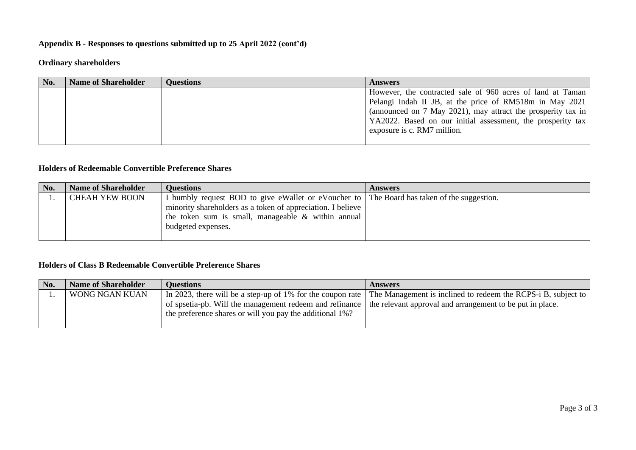# **Appendix B - Responses to questions submitted up to 25 April 2022 (cont'd)**

# **Ordinary shareholders**

| No. | <b>Name of Shareholder</b> | <b>Questions</b> | <b>Answers</b>                                                                                                                                                                                                                                                                      |
|-----|----------------------------|------------------|-------------------------------------------------------------------------------------------------------------------------------------------------------------------------------------------------------------------------------------------------------------------------------------|
|     |                            |                  | However, the contracted sale of 960 acres of land at Taman<br>Pelangi Indah II JB, at the price of RM518m in May 2021<br>(announced on 7 May 2021), may attract the prosperity tax in<br>YA2022. Based on our initial assessment, the prosperity tax<br>exposure is c. RM7 million. |

### **Holders of Redeemable Convertible Preference Shares**

| No. | <b>Name of Shareholder</b> | <b>Ouestions</b>                                                                           | <b>Answers</b> |
|-----|----------------------------|--------------------------------------------------------------------------------------------|----------------|
|     | <b>CHEAH YEW BOON</b>      | I humbly request BOD to give eWallet or eVoucher to The Board has taken of the suggestion. |                |
|     |                            | minority shareholders as a token of appreciation. I believe                                |                |
|     |                            | the token sum is small, manageable & within annual                                         |                |
|     |                            | budgeted expenses.                                                                         |                |
|     |                            |                                                                                            |                |

### **Holders of Class B Redeemable Convertible Preference Shares**

| No. | <b>Name of Shareholder</b> | <b>Questions</b>                                           | <b>Answers</b>                                                |
|-----|----------------------------|------------------------------------------------------------|---------------------------------------------------------------|
|     | WONG NGAN KUAN             | In 2023, there will be a step-up of 1% for the coupon rate | The Management is inclined to redeem the RCPS-i B, subject to |
|     |                            | of spsetia-pb. Will the management redeem and refinance    | the relevant approval and arrangement to be put in place.     |
|     |                            | the preference shares or will you pay the additional 1%?   |                                                               |
|     |                            |                                                            |                                                               |